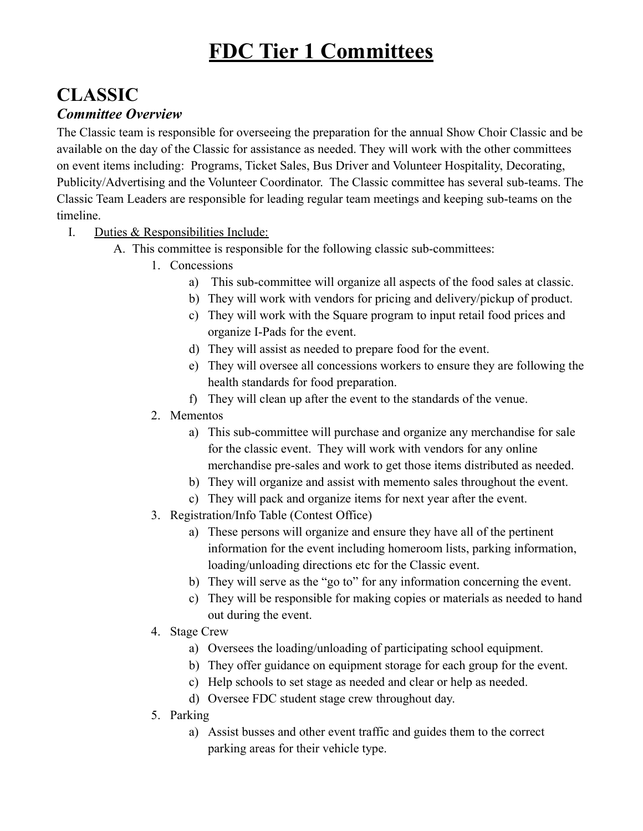# **FDC Tier 1 Committees**

### **CLASSIC** *Committee Overview*

The Classic team is responsible for overseeing the preparation for the annual Show Choir Classic and be available on the day of the Classic for assistance as needed. They will work with the other committees on event items including: Programs, Ticket Sales, Bus Driver and Volunteer Hospitality, Decorating, Publicity/Advertising and the Volunteer Coordinator. The Classic committee has several sub-teams. The Classic Team Leaders are responsible for leading regular team meetings and keeping sub-teams on the timeline.

- I. Duties & Responsibilities Include:
	- A. This committee is responsible for the following classic sub-committees:
		- 1. Concessions
			- a) This sub-committee will organize all aspects of the food sales at classic.
			- b) They will work with vendors for pricing and delivery/pickup of product.
			- c) They will work with the Square program to input retail food prices and organize I-Pads for the event.
			- d) They will assist as needed to prepare food for the event.
			- e) They will oversee all concessions workers to ensure they are following the health standards for food preparation.
			- f) They will clean up after the event to the standards of the venue.
		- 2. Mementos
			- a) This sub-committee will purchase and organize any merchandise for sale for the classic event. They will work with vendors for any online merchandise pre-sales and work to get those items distributed as needed.
			- b) They will organize and assist with memento sales throughout the event.
			- c) They will pack and organize items for next year after the event.
		- 3. Registration/Info Table (Contest Office)
			- a) These persons will organize and ensure they have all of the pertinent information for the event including homeroom lists, parking information, loading/unloading directions etc for the Classic event.
			- b) They will serve as the "go to" for any information concerning the event.
			- c) They will be responsible for making copies or materials as needed to hand out during the event.
		- 4. Stage Crew
			- a) Oversees the loading/unloading of participating school equipment.
			- b) They offer guidance on equipment storage for each group for the event.
			- c) Help schools to set stage as needed and clear or help as needed.
			- d) Oversee FDC student stage crew throughout day.
		- 5. Parking
			- a) Assist busses and other event traffic and guides them to the correct parking areas for their vehicle type.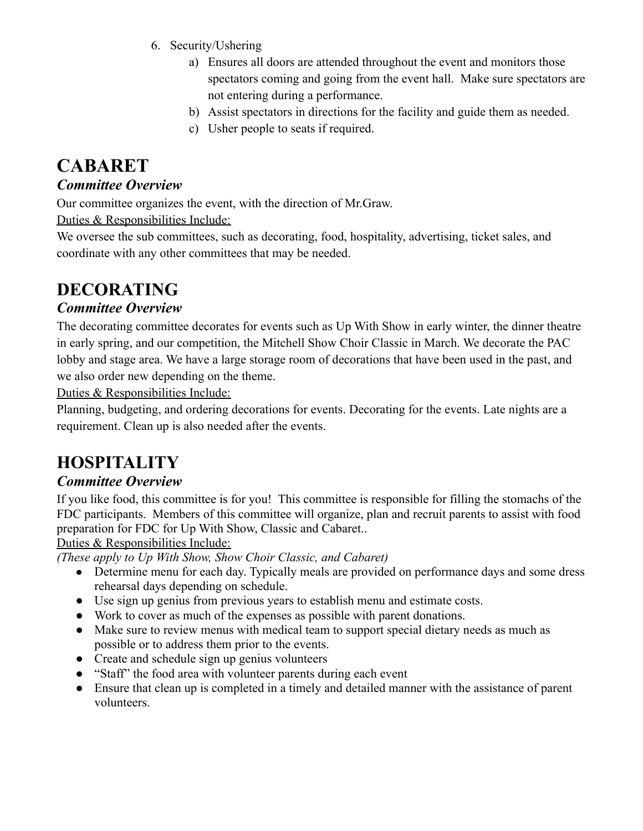- 6. Security/Ushering
	- a) Ensures all doors are attended throughout the event and monitors those spectators coming and going from the event hall. Make sure spectators are not entering during a performance.
	- b) Assist spectators in directions for the facility and guide them as needed.
	- c) Usher people to seats if required.

# **CABARET**

#### *Committee Overview*

Our committee organizes the event, with the direction of Mr.Graw.

Duties & Responsibilities Include:

We oversee the sub committees, such as decorating, food, hospitality, advertising, ticket sales, and coordinate with any other committees that may be needed.

### **DECORATING**

#### *Committee Overview*

The decorating committee decorates for events such as Up With Show in early winter, the dinner theatre in early spring, and our competition, the Mitchell Show Choir Classic in March. We decorate the PAC lobby and stage area. We have a large storage room of decorations that have been used in the past, and we also order new depending on the theme.

Duties & Responsibilities Include:

Planning, budgeting, and ordering decorations for events. Decorating for the events. Late nights are a requirement. Clean up is also needed after the events.

## **HOSPITALITY**

#### *Committee Overview*

If you like food, this committee is for you! This committee is responsible for filling the stomachs of the FDC participants. Members of this committee will organize, plan and recruit parents to assist with food preparation for FDC for Up With Show, Classic and Cabaret..

Duties & Responsibilities Include:

*(These apply to Up With Show, Show Choir Classic, and Cabaret)*

- Determine menu for each day. Typically meals are provided on performance days and some dress rehearsal days depending on schedule.
- Use sign up genius from previous years to establish menu and estimate costs.
- Work to cover as much of the expenses as possible with parent donations.
- Make sure to review menus with medical team to support special dietary needs as much as possible or to address them prior to the events.
- Create and schedule sign up genius volunteers
- "Staff" the food area with volunteer parents during each event
- Ensure that clean up is completed in a timely and detailed manner with the assistance of parent volunteers.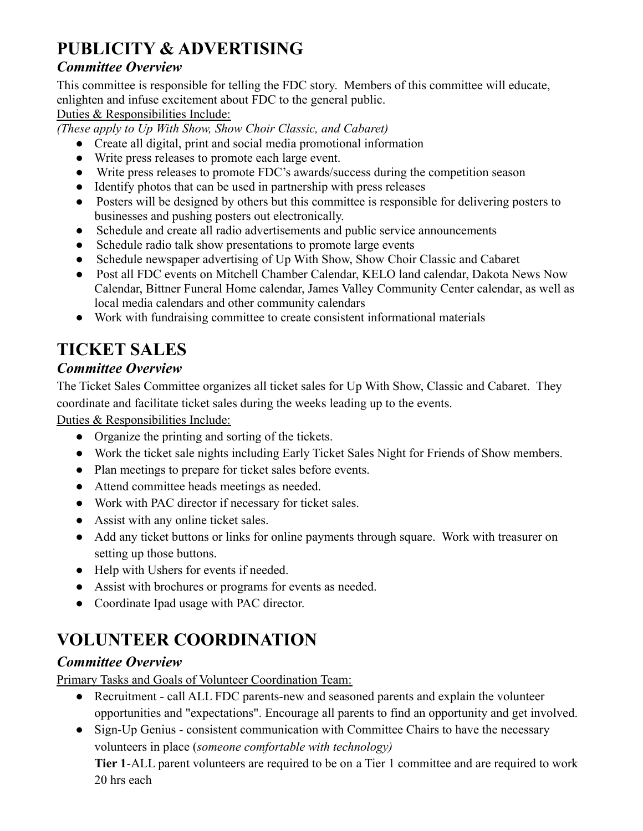# **PUBLICITY & ADVERTISING**

#### *Committee Overview*

This committee is responsible for telling the FDC story. Members of this committee will educate, enlighten and infuse excitement about FDC to the general public.

Duties & Responsibilities Include:

*(These apply to Up With Show, Show Choir Classic, and Cabaret)*

- Create all digital, print and social media promotional information
- Write press releases to promote each large event.
- Write press releases to promote FDC's awards/success during the competition season
- Identify photos that can be used in partnership with press releases
- Posters will be designed by others but this committee is responsible for delivering posters to businesses and pushing posters out electronically.
- Schedule and create all radio advertisements and public service announcements
- Schedule radio talk show presentations to promote large events
- Schedule newspaper advertising of Up With Show, Show Choir Classic and Cabaret
- Post all FDC events on Mitchell Chamber Calendar, KELO land calendar, Dakota News Now Calendar, Bittner Funeral Home calendar, James Valley Community Center calendar, as well as local media calendars and other community calendars
- Work with fundraising committee to create consistent informational materials

## **TICKET SALES**

#### *Committee Overview*

The Ticket Sales Committee organizes all ticket sales for Up With Show, Classic and Cabaret. They coordinate and facilitate ticket sales during the weeks leading up to the events.

Duties & Responsibilities Include:

- Organize the printing and sorting of the tickets.
- Work the ticket sale nights including Early Ticket Sales Night for Friends of Show members.
- Plan meetings to prepare for ticket sales before events.
- Attend committee heads meetings as needed.
- Work with PAC director if necessary for ticket sales.
- Assist with any online ticket sales.
- Add any ticket buttons or links for online payments through square. Work with treasurer on setting up those buttons.
- Help with Ushers for events if needed.
- Assist with brochures or programs for events as needed.
- Coordinate Ipad usage with PAC director.

# **VOLUNTEER COORDINATION**

#### *Committee Overview*

Primary Tasks and Goals of Volunteer Coordination Team:

- Recruitment call ALL FDC parents-new and seasoned parents and explain the volunteer opportunities and "expectations". Encourage all parents to find an opportunity and get involved.
- Sign-Up Genius consistent communication with Committee Chairs to have the necessary volunteers in place (*someone comfortable with technology)*

**Tier 1**-ALL parent volunteers are required to be on a Tier 1 committee and are required to work 20 hrs each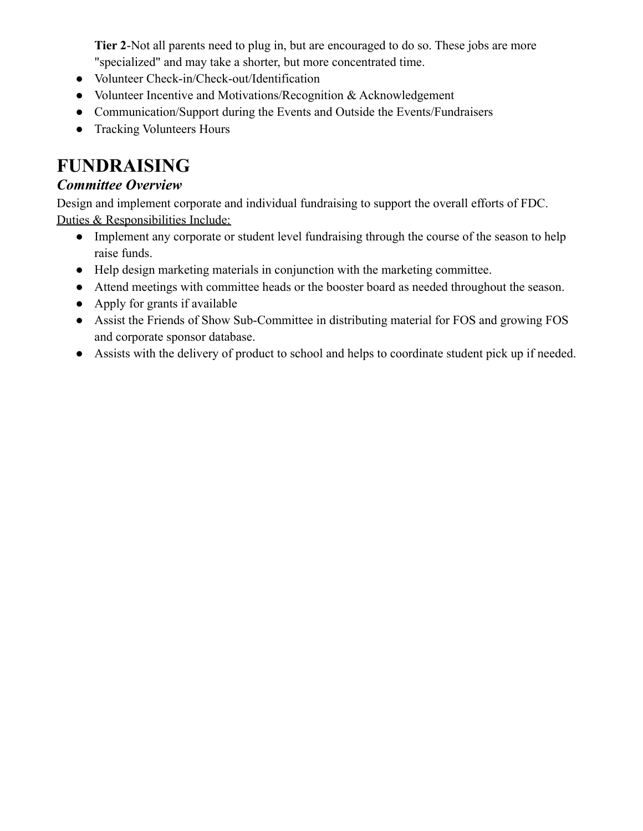**Tier 2**-Not all parents need to plug in, but are encouraged to do so. These jobs are more "specialized" and may take a shorter, but more concentrated time.

- Volunteer Check-in/Check-out/Identification
- Volunteer Incentive and Motivations/Recognition & Acknowledgement
- Communication/Support during the Events and Outside the Events/Fundraisers
- Tracking Volunteers Hours

### **FUNDRAISING**

#### *Committee Overview*

Design and implement corporate and individual fundraising to support the overall efforts of FDC. Duties & Responsibilities Include:

- Implement any corporate or student level fundraising through the course of the season to help raise funds.
- Help design marketing materials in conjunction with the marketing committee.
- Attend meetings with committee heads or the booster board as needed throughout the season.
- Apply for grants if available
- Assist the Friends of Show Sub-Committee in distributing material for FOS and growing FOS and corporate sponsor database.
- Assists with the delivery of product to school and helps to coordinate student pick up if needed.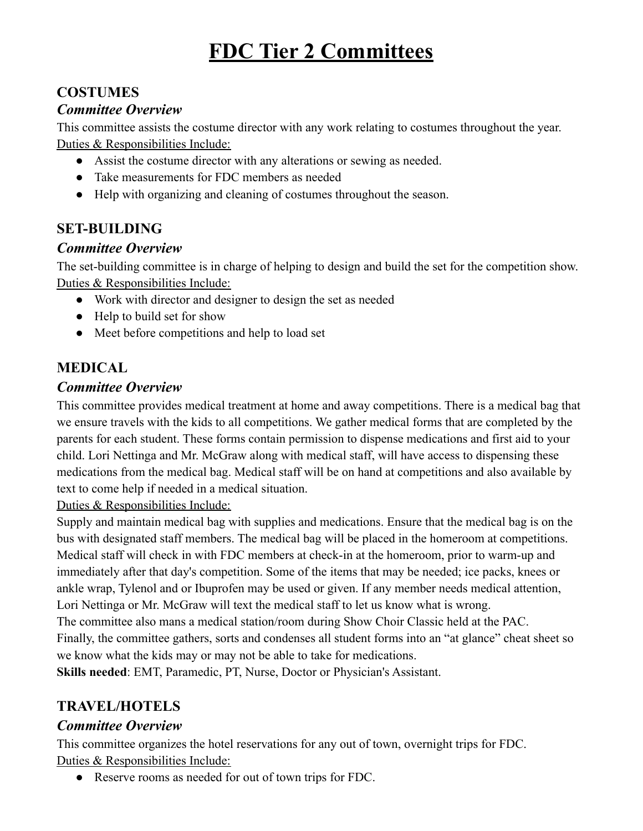# **FDC Tier 2 Committees**

#### **COSTUMES**

#### *Committee Overview*

This committee assists the costume director with any work relating to costumes throughout the year. Duties & Responsibilities Include:

- Assist the costume director with any alterations or sewing as needed.
- Take measurements for FDC members as needed
- Help with organizing and cleaning of costumes throughout the season.

#### **SET-BUILDING**

#### *Committee Overview*

The set-building committee is in charge of helping to design and build the set for the competition show. Duties & Responsibilities Include:

- Work with director and designer to design the set as needed
- Help to build set for show
- Meet before competitions and help to load set

#### **MEDICAL**

#### *Committee Overview*

This committee provides medical treatment at home and away competitions. There is a medical bag that we ensure travels with the kids to all competitions. We gather medical forms that are completed by the parents for each student. These forms contain permission to dispense medications and first aid to your child. Lori Nettinga and Mr. McGraw along with medical staff, will have access to dispensing these medications from the medical bag. Medical staff will be on hand at competitions and also available by text to come help if needed in a medical situation.

Duties & Responsibilities Include:

Supply and maintain medical bag with supplies and medications. Ensure that the medical bag is on the bus with designated staff members. The medical bag will be placed in the homeroom at competitions. Medical staff will check in with FDC members at check-in at the homeroom, prior to warm-up and immediately after that day's competition. Some of the items that may be needed; ice packs, knees or ankle wrap, Tylenol and or Ibuprofen may be used or given. If any member needs medical attention, Lori Nettinga or Mr. McGraw will text the medical staff to let us know what is wrong.

The committee also mans a medical station/room during Show Choir Classic held at the PAC.

Finally, the committee gathers, sorts and condenses all student forms into an "at glance" cheat sheet so we know what the kids may or may not be able to take for medications.

**Skills needed**: EMT, Paramedic, PT, Nurse, Doctor or Physician's Assistant.

#### **TRAVEL/HOTELS**

#### *Committee Overview*

This committee organizes the hotel reservations for any out of town, overnight trips for FDC. Duties & Responsibilities Include:

● Reserve rooms as needed for out of town trips for FDC.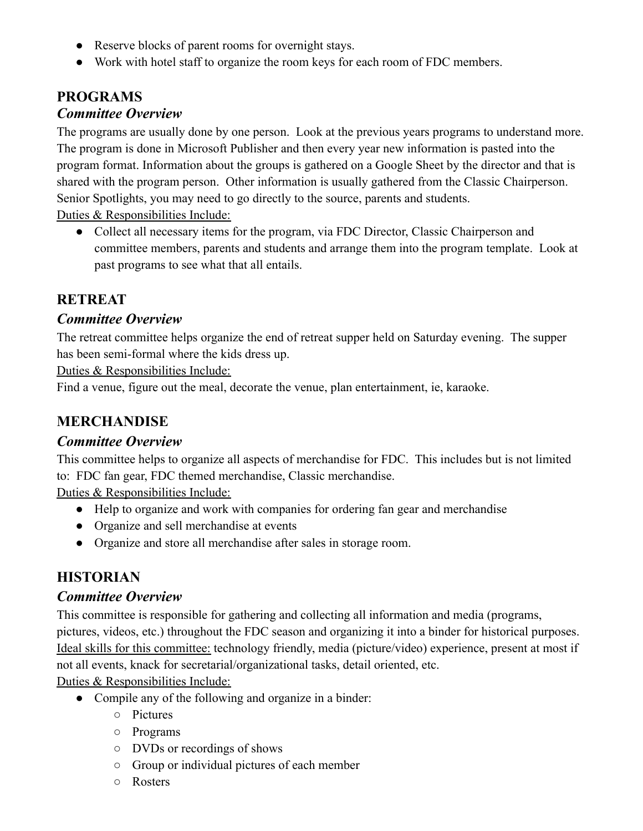- Reserve blocks of parent rooms for overnight stays.
- Work with hotel staff to organize the room keys for each room of FDC members.

#### **PROGRAMS** *Committee Overview*

The programs are usually done by one person. Look at the previous years programs to understand more. The program is done in Microsoft Publisher and then every year new information is pasted into the program format. Information about the groups is gathered on a Google Sheet by the director and that is shared with the program person. Other information is usually gathered from the Classic Chairperson. Senior Spotlights, you may need to go directly to the source, parents and students.

Duties & Responsibilities Include:

• Collect all necessary items for the program, via FDC Director, Classic Chairperson and committee members, parents and students and arrange them into the program template. Look at past programs to see what that all entails.

#### **RETREAT**

#### *Committee Overview*

The retreat committee helps organize the end of retreat supper held on Saturday evening. The supper has been semi-formal where the kids dress up.

Duties & Responsibilities Include:

Find a venue, figure out the meal, decorate the venue, plan entertainment, ie, karaoke.

#### **MERCHANDISE**

#### *Committee Overview*

This committee helps to organize all aspects of merchandise for FDC. This includes but is not limited to: FDC fan gear, FDC themed merchandise, Classic merchandise.

Duties & Responsibilities Include:

- Help to organize and work with companies for ordering fan gear and merchandise
- Organize and sell merchandise at events
- Organize and store all merchandise after sales in storage room.

#### **HISTORIAN**

#### *Committee Overview*

This committee is responsible for gathering and collecting all information and media (programs, pictures, videos, etc.) throughout the FDC season and organizing it into a binder for historical purposes. Ideal skills for this committee: technology friendly, media (picture/video) experience, present at most if not all events, knack for secretarial/organizational tasks, detail oriented, etc.

Duties & Responsibilities Include:

- Compile any of the following and organize in a binder:
	- Pictures
	- Programs
	- DVDs or recordings of shows
	- Group or individual pictures of each member
	- Rosters